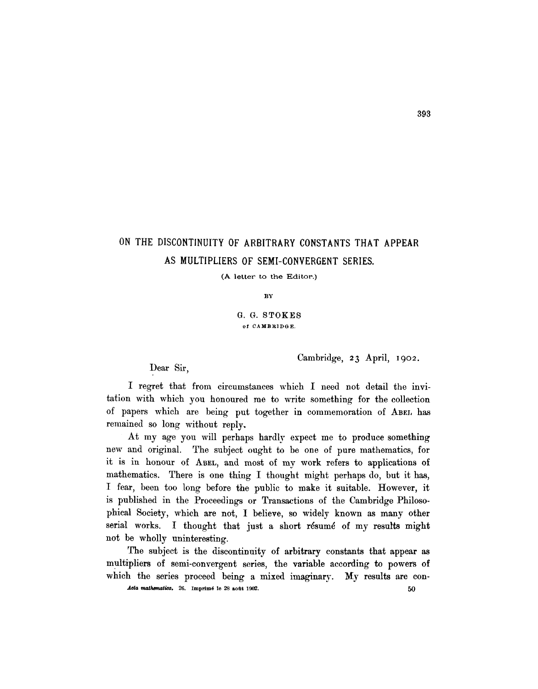## ON THE DISCONTINUITY OF ARBITRARY CONSTANTS THAT APPEAR **AS** MULTIPLIERS OF SEMI-CONVERGENT **SERIES.**

(A letter to the Editor.)

BY

**G. G. STOKES**  of CAMBRIDGE.

Cambridge, 23 April, 1902.

Dear Sir,

I regret that from circumstances which I need not detail the invitation with which you honoured me to write something for the collection of papers which are being put together in commemoration of ABEL has remained so long without reply.

At my age you will perhaps hardly expect me to produce something new and original. The subject ought to be one of pure mathematics, for it is in honour of ABEL, and most of my work refers to applications of mathematics. There is one thing I thought might perhaps do, but it has, I fear, been too long before the public to make it suitable. However, it is published in the Proceedings or Transactions of the Cambridge Philosophical Society, which are not, I believe, so widely known as many other serial works. I thought that just a short résumé of my results might not be wholly uninteresting.

The subject is the discontinuity of arbitrary constants that appear as multipliers of semi-convergent series, the variable according to powers of which the series proceed being a mixed imaginary. My results are con-

 $Acta$  mathematica, 26. Imprimé le  $28$  août 1902.  $50$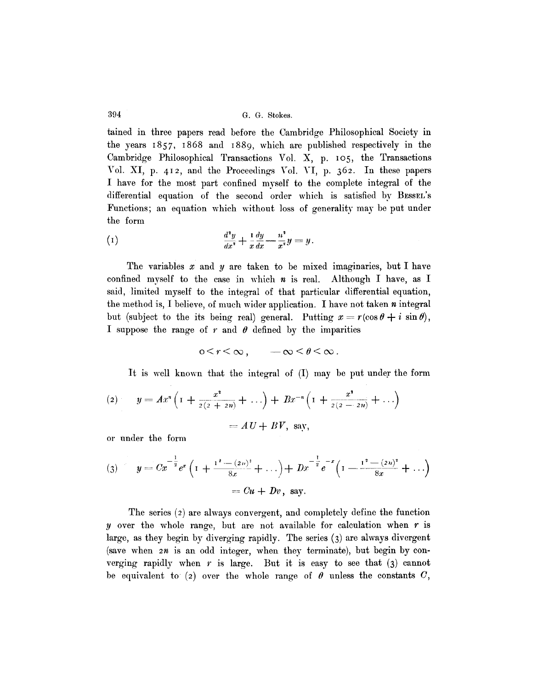394 G.G. Stokes.

tained in three papers read before the Cambridge Philosophical Society in the years 1857, 1868 and I889, which are published respectively in the Cambridge Philosophical Transactions Vol. X, p. Io5, the Transactions Vol. XI, p. 412, and the Proceedings Vo]. VI, p. 362. In these papers I have for the most part confined myself to the complete integral of the differential equation of the second order which is satisfied by BESSEL's Functions; an equation which without loss of generality may be put under the form

(1) 
$$
\frac{d^2y}{dx^2} + \frac{1}{x}\frac{dy}{dx} - \frac{n^2}{x^2}y = y.
$$

The variables  $x$  and  $y$  are taken to be mixed imaginaries, but I have confined myself to the case in which  $n$  is real. Although I have, as I said, limited myself to the integral of that particular differential equation, the method is, I believe, of much wider application. I have not taken  $n$  integral but (subject to the its being real) general. Putting  $x = r(\cos \theta + i \sin \theta)$ , I suppose the range of r and  $\theta$  defined by the imparities

$$
0 \leq r \leq \infty \,, \qquad -\infty \leq \theta \leq \infty \,.
$$

It is well known that the integral of (I) may be put under the form

(2) 
$$
y = Ax^n \left( 1 + \frac{x^2}{2(2 + 2n)} + \ldots \right) + Bx^{-n} \left( 1 + \frac{x^2}{2(2 - 2n)} + \ldots \right)
$$
  
=  $AU + BV$ , say,

or under the form

$$
(3) \qquad y = C x^{-\frac{1}{2}} e^x \left( 1 + \frac{1^2 - (2n)^2}{8x} + \ldots \right) + D x^{-\frac{1}{2}} e^{-x} \left( 1 - \frac{1^2 - (2n)^2}{8x} + \ldots \right)
$$

$$
= Cu + Dv, \text{ say.}
$$

The series (2) are always convergent, and completely define the function y over the whole range, but are not available for calculation when  $r$  is large, as they begin by diverging rapidly. The series (3) are always divergent (save when  $2n$  is an odd integer, when they terminate), but begin by converging rapidly when r is large. But it is easy to see that  $(3)$  cannot be equivalent to (2) over the whole range of  $\theta$  unless the constants C,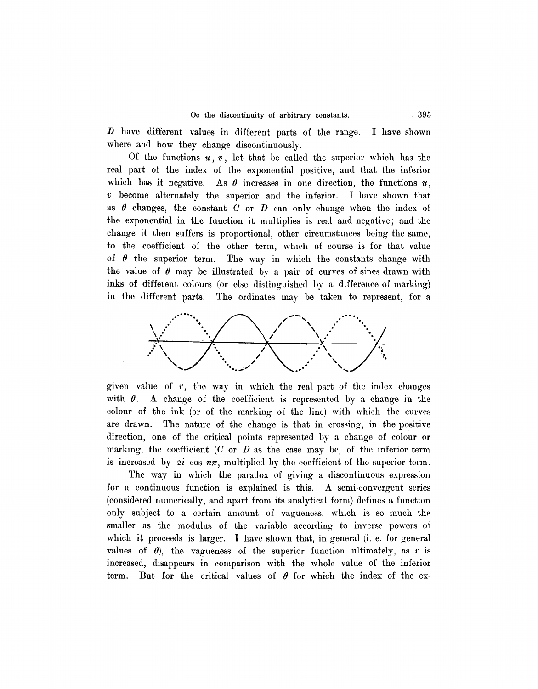D have different values in different parts of the range. I have shown where and how they change discontinuously.

Of the functions  $u, v$ , let that be called the superior which has the real part of the index of the exponential positive, and that the inferior which has it negative. As  $\theta$  increases in one direction, the functions  $u$ ,  $v$  become alternately the superior and the inferior. I have shown that as  $\theta$  changes, the constant  $C$  or  $D$  can only change when the index of the exponential in the function it multiplies is real and negative; and the change it then suffers is proportional, other circumstances being the same, to the coefficient of the other term, which of course is for that value of  $\theta$  the superior term. The way in which the constants change with the value of  $\theta$  may be illustrated by a pair of curves of sines drawn with inks of different colours (or else distinguished by a difference of marking) in the different parts. The ordinates may be taken to represent, for a



given value of  $r$ , the way in which the real part of the index changes with  $\theta$ . A change of the coefficient is represented by a change in the colour of the ink (or of the marking of the line) with which the curves are drawn. The nature of the change is that in crossing, in the positive direction, one of the critical points represented bv a change of colour or marking, the coefficient  $(C \text{ or } D \text{ as the case may be})$  of the inferior term is increased by 2*i* cos  $n\pi$ , multiplied by the coefficient of the superior term.

The way in which the paradox of giving a discontinuous expression for a continuous function is explained is this. A semi-convergent series (considered numerically, and apart from its analytical form) defines a function only subject to a certain amount of vagueness, which is so much the smaller as the modulus of the variable according to inverse powers of which it proceeds is larger. I have shown that, in general (i. e. for general values of  $\theta$ ), the vagueness of the superior function ultimately, as r is increased, disappears in comparison with the whole value of the inferior term. But for the critical values of  $\theta$  for which the index of the ex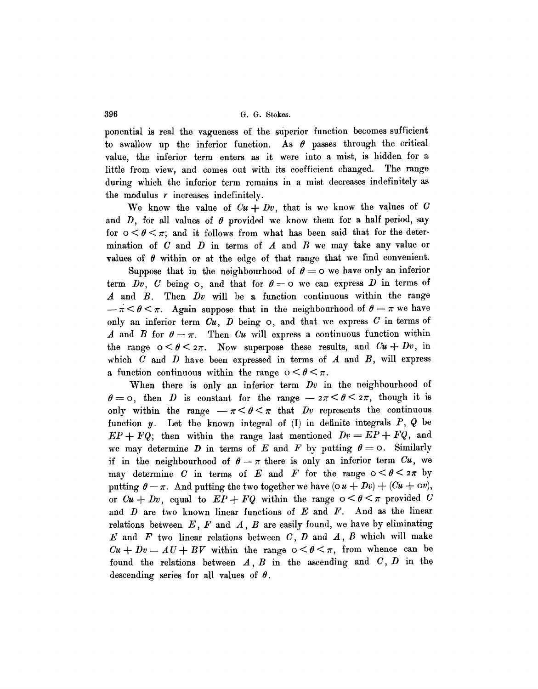**396 G.G.** Stokes.

ponential is real the vagueness of the superior function becomes sufficient to swallow up the inferior function. As  $\theta$  passes through the critical value, the inferior term enters as it were into a mist, is hidden for a little from view, and comes out with its coefficient changed. The range during which the inferior term remains in a mist decreases indefinitely as the modulus r increases indefinitely.

We know the value of  $Cu + Dv$ , that is we know the values of C and  $D$ , for all values of  $\theta$  provided we know them for a half period, say for  $0 \le \theta \le \pi$ ; and it follows from what has been said that for the determination of  $C$  and  $D$  in terms of  $A$  and  $B$  we may take any value or values of  $\theta$  within or at the edge of that range that we find convenient.

Suppose that in the neighbourhood of  $\theta = o$  we have only an inferior term Dv, C being  $\circ$ , and that for  $\theta = \circ$  we can express D in terms of A and B. Then *Dv* will be a function continuous within the range  $-\pi < \theta < \pi$ . Again suppose that in the neighbourhood of  $\theta = \pi$  we have only an inferior term *Cu, D* being o, and that we express C in terms of A and B for  $\theta = \pi$ . Then *Cu* will express a continuous function within the range  $0 \le \theta \le 2\pi$ . Now superpose these results, and  $Cu + Dv$ , in which  $C$  and  $D$  have been expressed in terms of  $A$  and  $B$ , will express a function continuous within the range  $0 \leq \theta \leq \pi$ .

When there is only an inferior term *Dv* in the neighbourhood of  $\theta = 0$ , then D is constant for the range  $-z\pi < \theta < 2\pi$ , though it is only within the range  $-\pi < \theta < \pi$  that *Dv* represents the continuous function y. Let the known integral of  $(I)$  in definite integrals P, Q be  $EP + FQ$ ; then within the range last mentioned  $Dv = EP + FQ$ , and we may determine D in terms of E and F by putting  $\theta = o$ . Similarly if in the neighbourhood of  $\theta = \pi$  there is only an inferior term  $Cu$ , we may determine C in terms of E and F for the range  $0 \le \theta \le 2\pi$  by putting  $\theta = \pi$ . And putting the two together we have  $(\alpha u + Dv) + (Cu + \alpha v)$ , or  $Cu + Dv$ , equal to  $EP + FQ$  within the range  $0 \le \theta \le \pi$  provided C and  $D$  are two known linear functions of  $E$  and  $F$ . And as the linear relations between  $E$ ,  $F$  and  $A$ ,  $B$  are easily found, we have by eliminating  $E$  and  $F$  two linear relations between  $C, D$  and  $A, B$  which will make  $Cu + Dv = AU + BV$  within the range  $0 < \theta < \pi$ , from whence can be found the relations between  $A, B$  in the ascending and  $C, D$  in the descending series for all values of  $\theta$ .